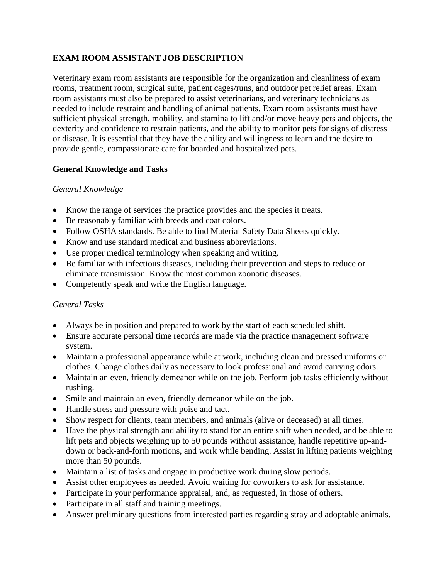# **EXAM ROOM ASSISTANT JOB DESCRIPTION**

Veterinary exam room assistants are responsible for the organization and cleanliness of exam rooms, treatment room, surgical suite, patient cages/runs, and outdoor pet relief areas. Exam room assistants must also be prepared to assist veterinarians, and veterinary technicians as needed to include restraint and handling of animal patients. Exam room assistants must have sufficient physical strength, mobility, and stamina to lift and/or move heavy pets and objects, the dexterity and confidence to restrain patients, and the ability to monitor pets for signs of distress or disease. It is essential that they have the ability and willingness to learn and the desire to provide gentle, compassionate care for boarded and hospitalized pets.

## **General Knowledge and Tasks**

### *General Knowledge*

- Know the range of services the practice provides and the species it treats.
- Be reasonably familiar with breeds and coat colors.
- Follow OSHA standards. Be able to find Material Safety Data Sheets quickly.
- Know and use standard medical and business abbreviations.
- Use proper medical terminology when speaking and writing.
- Be familiar with infectious diseases, including their prevention and steps to reduce or eliminate transmission. Know the most common zoonotic diseases.
- Competently speak and write the English language.

### *General Tasks*

- Always be in position and prepared to work by the start of each scheduled shift.
- Ensure accurate personal time records are made via the practice management software system.
- Maintain a professional appearance while at work, including clean and pressed uniforms or clothes. Change clothes daily as necessary to look professional and avoid carrying odors.
- Maintain an even, friendly demeanor while on the job. Perform job tasks efficiently without rushing.
- Smile and maintain an even, friendly demeanor while on the job.
- Handle stress and pressure with poise and tact.
- Show respect for clients, team members, and animals (alive or deceased) at all times.
- Have the physical strength and ability to stand for an entire shift when needed, and be able to lift pets and objects weighing up to 50 pounds without assistance, handle repetitive up-anddown or back-and-forth motions, and work while bending. Assist in lifting patients weighing more than 50 pounds.
- Maintain a list of tasks and engage in productive work during slow periods.
- Assist other employees as needed. Avoid waiting for coworkers to ask for assistance.
- Participate in your performance appraisal, and, as requested, in those of others.
- Participate in all staff and training meetings.
- Answer preliminary questions from interested parties regarding stray and adoptable animals.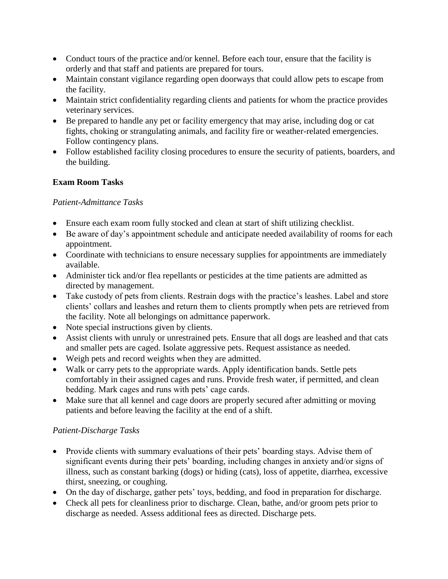- Conduct tours of the practice and/or kennel. Before each tour, ensure that the facility is orderly and that staff and patients are prepared for tours.
- Maintain constant vigilance regarding open doorways that could allow pets to escape from the facility.
- Maintain strict confidentiality regarding clients and patients for whom the practice provides veterinary services.
- Be prepared to handle any pet or facility emergency that may arise, including dog or cat fights, choking or strangulating animals, and facility fire or weather-related emergencies. Follow contingency plans.
- Follow established facility closing procedures to ensure the security of patients, boarders, and the building.

## **Exam Room Tasks**

### *Patient-Admittance Tasks*

- Ensure each exam room fully stocked and clean at start of shift utilizing checklist.
- Be aware of day's appointment schedule and anticipate needed availability of rooms for each appointment.
- Coordinate with technicians to ensure necessary supplies for appointments are immediately available.
- Administer tick and/or flea repellants or pesticides at the time patients are admitted as directed by management.
- Take custody of pets from clients. Restrain dogs with the practice's leashes. Label and store clients' collars and leashes and return them to clients promptly when pets are retrieved from the facility. Note all belongings on admittance paperwork.
- Note special instructions given by clients.
- Assist clients with unruly or unrestrained pets. Ensure that all dogs are leashed and that cats and smaller pets are caged. Isolate aggressive pets. Request assistance as needed.
- Weigh pets and record weights when they are admitted.
- Walk or carry pets to the appropriate wards. Apply identification bands. Settle pets comfortably in their assigned cages and runs. Provide fresh water, if permitted, and clean bedding. Mark cages and runs with pets' cage cards.
- Make sure that all kennel and cage doors are properly secured after admitting or moving patients and before leaving the facility at the end of a shift.

# *Patient-Discharge Tasks*

- Provide clients with summary evaluations of their pets' boarding stays. Advise them of significant events during their pets' boarding, including changes in anxiety and/or signs of illness, such as constant barking (dogs) or hiding (cats), loss of appetite, diarrhea, excessive thirst, sneezing, or coughing.
- On the day of discharge, gather pets' toys, bedding, and food in preparation for discharge.
- Check all pets for cleanliness prior to discharge. Clean, bathe, and/or groom pets prior to discharge as needed. Assess additional fees as directed. Discharge pets.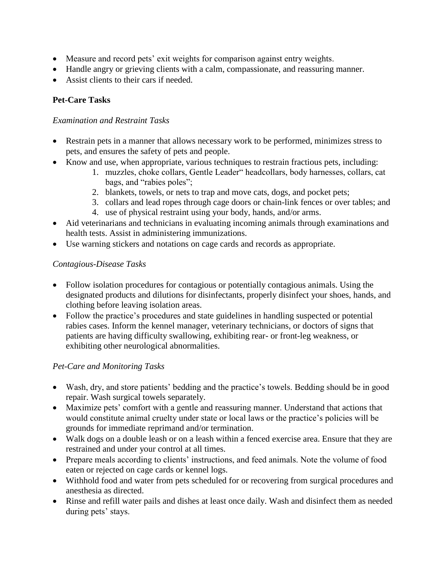- Measure and record pets' exit weights for comparison against entry weights.
- Handle angry or grieving clients with a calm, compassionate, and reassuring manner.
- Assist clients to their cars if needed.

# **Pet-Care Tasks**

#### *Examination and Restraint Tasks*

- Restrain pets in a manner that allows necessary work to be performed, minimizes stress to pets, and ensures the safety of pets and people.
- Know and use, when appropriate, various techniques to restrain fractious pets, including:
	- 1. muzzles, choke collars, Gentle Leader" headcollars, body harnesses, collars, cat bags, and "rabies poles";
	- 2. blankets, towels, or nets to trap and move cats, dogs, and pocket pets;
	- 3. collars and lead ropes through cage doors or chain-link fences or over tables; and
	- 4. use of physical restraint using your body, hands, and/or arms.
- Aid veterinarians and technicians in evaluating incoming animals through examinations and health tests. Assist in administering immunizations.
- Use warning stickers and notations on cage cards and records as appropriate.

## *Contagious-Disease Tasks*

- Follow isolation procedures for contagious or potentially contagious animals. Using the designated products and dilutions for disinfectants, properly disinfect your shoes, hands, and clothing before leaving isolation areas.
- Follow the practice's procedures and state guidelines in handling suspected or potential rabies cases. Inform the kennel manager, veterinary technicians, or doctors of signs that patients are having difficulty swallowing, exhibiting rear- or front-leg weakness, or exhibiting other neurological abnormalities.

### *Pet-Care and Monitoring Tasks*

- Wash, dry, and store patients' bedding and the practice's towels. Bedding should be in good repair. Wash surgical towels separately.
- Maximize pets' comfort with a gentle and reassuring manner. Understand that actions that would constitute animal cruelty under state or local laws or the practice's policies will be grounds for immediate reprimand and/or termination.
- Walk dogs on a double leash or on a leash within a fenced exercise area. Ensure that they are restrained and under your control at all times.
- Prepare meals according to clients' instructions, and feed animals. Note the volume of food eaten or rejected on cage cards or kennel logs.
- Withhold food and water from pets scheduled for or recovering from surgical procedures and anesthesia as directed.
- Rinse and refill water pails and dishes at least once daily. Wash and disinfect them as needed during pets' stays.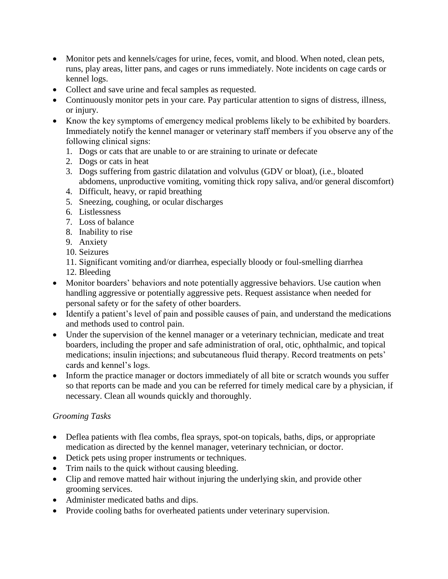- Monitor pets and kennels/cages for urine, feces, vomit, and blood. When noted, clean pets, runs, play areas, litter pans, and cages or runs immediately. Note incidents on cage cards or kennel logs.
- Collect and save urine and fecal samples as requested.
- Continuously monitor pets in your care. Pay particular attention to signs of distress, illness, or injury.
- Know the key symptoms of emergency medical problems likely to be exhibited by boarders. Immediately notify the kennel manager or veterinary staff members if you observe any of the following clinical signs:
	- 1. Dogs or cats that are unable to or are straining to urinate or defecate
	- 2. Dogs or cats in heat
	- 3. Dogs suffering from gastric dilatation and volvulus (GDV or bloat), (i.e., bloated abdomens, unproductive vomiting, vomiting thick ropy saliva, and/or general discomfort)
	- 4. Difficult, heavy, or rapid breathing
	- 5. Sneezing, coughing, or ocular discharges
	- 6. Listlessness
	- 7. Loss of balance
	- 8. Inability to rise
	- 9. Anxiety
	- 10. Seizures
	- 11. Significant vomiting and/or diarrhea, especially bloody or foul-smelling diarrhea
	- 12. Bleeding
- Monitor boarders' behaviors and note potentially aggressive behaviors. Use caution when handling aggressive or potentially aggressive pets. Request assistance when needed for personal safety or for the safety of other boarders.
- Identify a patient's level of pain and possible causes of pain, and understand the medications and methods used to control pain.
- Under the supervision of the kennel manager or a veterinary technician, medicate and treat boarders, including the proper and safe administration of oral, otic, ophthalmic, and topical medications; insulin injections; and subcutaneous fluid therapy. Record treatments on pets' cards and kennel's logs.
- Inform the practice manager or doctors immediately of all bite or scratch wounds you suffer so that reports can be made and you can be referred for timely medical care by a physician, if necessary. Clean all wounds quickly and thoroughly.

# *Grooming Tasks*

- Deflea patients with flea combs, flea sprays, spot-on topicals, baths, dips, or appropriate medication as directed by the kennel manager, veterinary technician, or doctor.
- Detick pets using proper instruments or techniques.
- Trim nails to the quick without causing bleeding.
- Clip and remove matted hair without injuring the underlying skin, and provide other grooming services.
- Administer medicated baths and dips.
- Provide cooling baths for overheated patients under veterinary supervision.